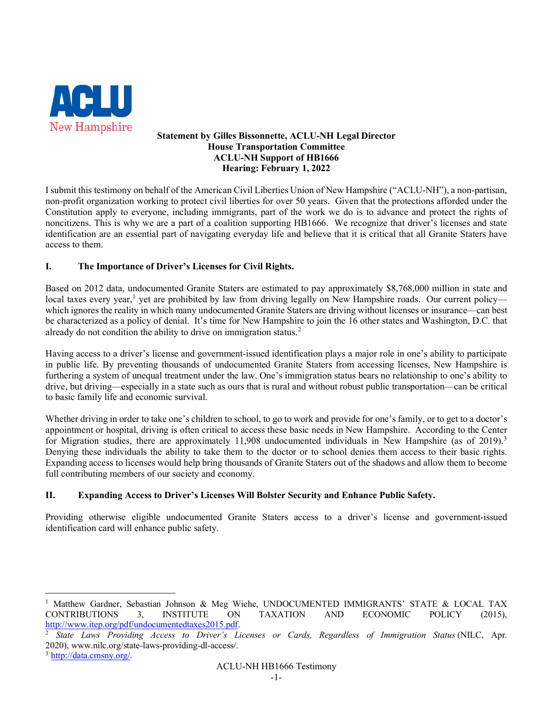

## **Statement by Gilles Bissonnette, ACLU-NH Legal Director House Transportation Committee ACLU-NH Support of HB1666 Hearing: February 1, 2022**

I submit this testimony on behalf of the American Civil Liberties Union of New Hampshire ("ACLU-NH"), a non-partisan, non-profit organization working to protect civil liberties for over 50 years. Given that the protections afforded under the Constitution apply to everyone, including immigrants, part of the work we do is to advance and protect the rights of noncitizens. This is why we are a part of a coalition supporting HB1666. We recognize that driver's licenses and state identification are an essential part of navigating everyday life and believe that it is critical that all Granite Staters have access to them.

## **I. The Importance of Driver's Licenses for Civil Rights.**

Based on 2012 data, undocumented Granite Staters are estimated to pay approximately \$8,768,000 million in state and local taxes every year,<sup>[1](#page-0-0)</sup> yet are prohibited by law from driving legally on New Hampshire roads. Our current policy which ignores the reality in which many undocumented Granite Staters are driving without licenses or insurance—can best be characterized as a policy of denial. It's time for New Hampshire to join the 16 other states and Washington, D.C. that already do not condition the ability to drive on immigration status.<sup>[2](#page-0-1)</sup>

Having access to a driver's license and government-issued identification plays a major role in one's ability to participate in public life. By preventing thousands of undocumented Granite Staters from accessing licenses, New Hampshire is furthering a system of unequal treatment under the law. One's immigration status bears no relationship to one's ability to drive, but driving—especially in a state such as ours that is rural and without robust public transportation—can be critical to basic family life and economic survival.

Whether driving in order to take one's children to school, to go to work and provide for one's family, or to get to a doctor's appointment or hospital, driving is often critical to access these basic needs in New Hampshire. According to the Center for Migration studies, there are approximately 11,908 undocumented individuals in New Hampshire (as of 2019).<sup>[3](#page-0-2)</sup> Denying these individuals the ability to take them to the doctor or to school denies them access to their basic rights. Expanding access to licenses would help bring thousands of Granite Staters out of the shadows and allow them to become full contributing members of our society and economy.

## **II. Expanding Access to Driver's Licenses Will Bolster Security and Enhance Public Safety.**

Providing otherwise eligible undocumented Granite Staters access to a driver's license and government-issued identification card will enhance public safety.

<span id="page-0-0"></span><sup>&</sup>lt;sup>1</sup> Matthew Gardner, Sebastian Johnson & Meg Wiehe, UNDOCUMENTED IMMIGRANTS' STATE & LOCAL TAX CONTRIBUTIONS 3, INSTITUTE ON TAXATION AND ECONOMIC POLICY (2015), [http://www.itep.org/pdf/undocumentedtaxes2015.pdf.](http://www.itep.org/pdf/undocumentedtaxes2015.pdf)

<span id="page-0-2"></span><span id="page-0-1"></span><sup>2</sup> *State Laws Providing Access to Driver's Licenses or Cards, Regardless of Immigration Status* (NILC, Apr. 2020), [www.nilc.org/state-laws-providing-dl-access/.](https://www.nilc.org/state-laws-providing-dl-access/)